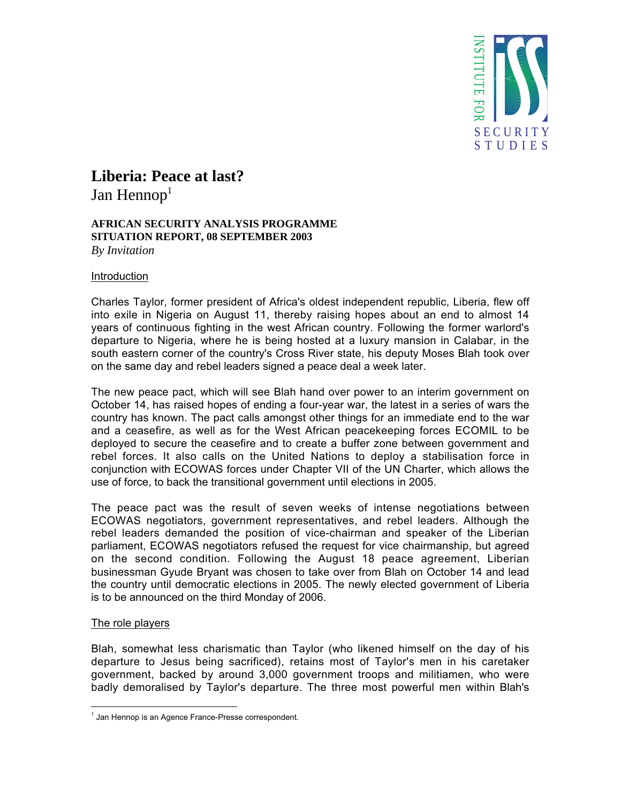

# **Liberia: Peace at last?**

Jan Hennop<sup>1</sup>

## **AFRICAN SECURITY ANALYSIS PROGRAMME SITUATION REPORT, 08 SEPTEMBER 2003** *By Invitation*

## Introduction

Charles Taylor, former president of Africa's oldest independent republic, Liberia, flew off into exile in Nigeria on August 11, thereby raising hopes about an end to almost 14 years of continuous fighting in the west African country. Following the former warlord's departure to Nigeria, where he is being hosted at a luxury mansion in Calabar, in the south eastern corner of the country's Cross River state, his deputy Moses Blah took over on the same day and rebel leaders signed a peace deal a week later.

The new peace pact, which will see Blah hand over power to an interim government on October 14, has raised hopes of ending a four-year war, the latest in a series of wars the country has known. The pact calls amongst other things for an immediate end to the war and a ceasefire, as well as for the West African peacekeeping forces ECOMIL to be deployed to secure the ceasefire and to create a buffer zone between government and rebel forces. It also calls on the United Nations to deploy a stabilisation force in conjunction with ECOWAS forces under Chapter VII of the UN Charter, which allows the use of force, to back the transitional government until elections in 2005.

The peace pact was the result of seven weeks of intense negotiations between ECOWAS negotiators, government representatives, and rebel leaders. Although the rebel leaders demanded the position of vice-chairman and speaker of the Liberian parliament, ECOWAS negotiators refused the request for vice chairmanship, but agreed on the second condition. Following the August 18 peace agreement, Liberian businessman Gyude Bryant was chosen to take over from Blah on October 14 and lead the country until democratic elections in 2005. The newly elected government of Liberia is to be announced on the third Monday of 2006.

# The role players

Blah, somewhat less charismatic than Taylor (who likened himself on the day of his departure to Jesus being sacrificed), retains most of Taylor's men in his caretaker government, backed by around 3,000 government troops and militiamen, who were badly demoralised by Taylor's departure. The three most powerful men within Blah's

 $\frac{1}{1}$  $<sup>1</sup>$  Jan Hennop is an Agence France-Presse correspondent.</sup>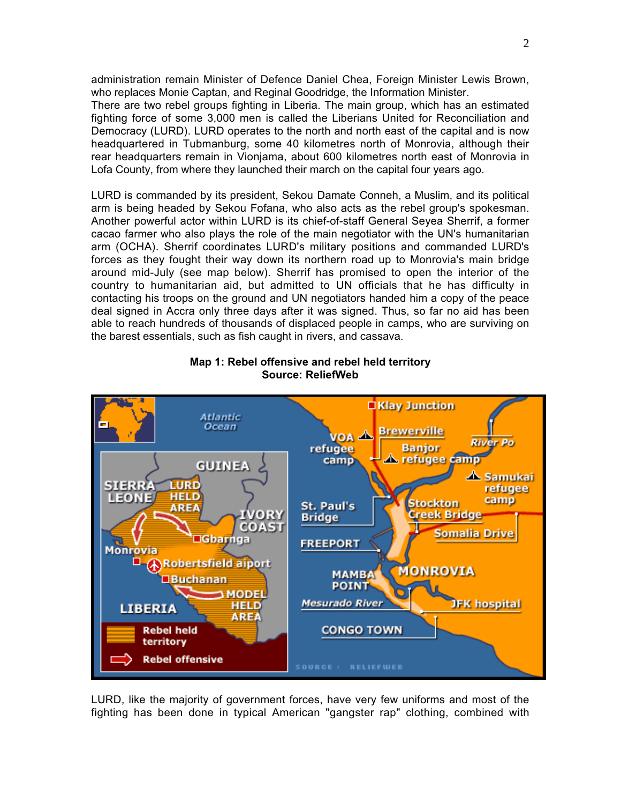administration remain Minister of Defence Daniel Chea, Foreign Minister Lewis Brown, who replaces Monie Captan, and Reginal Goodridge, the Information Minister.

There are two rebel groups fighting in Liberia. The main group, which has an estimated fighting force of some 3,000 men is called the Liberians United for Reconciliation and Democracy (LURD). LURD operates to the north and north east of the capital and is now headquartered in Tubmanburg, some 40 kilometres north of Monrovia, although their rear headquarters remain in Vionjama, about 600 kilometres north east of Monrovia in Lofa County, from where they launched their march on the capital four years ago.

LURD is commanded by its president, Sekou Damate Conneh, a Muslim, and its political arm is being headed by Sekou Fofana, who also acts as the rebel group's spokesman. Another powerful actor within LURD is its chief-of-staff General Seyea Sherrif, a former cacao farmer who also plays the role of the main negotiator with the UN's humanitarian arm (OCHA). Sherrif coordinates LURD's military positions and commanded LURD's forces as they fought their way down its northern road up to Monrovia's main bridge around mid-July (see map below). Sherrif has promised to open the interior of the country to humanitarian aid, but admitted to UN officials that he has difficulty in contacting his troops on the ground and UN negotiators handed him a copy of the peace deal signed in Accra only three days after it was signed. Thus, so far no aid has been able to reach hundreds of thousands of displaced people in camps, who are surviving on the barest essentials, such as fish caught in rivers, and cassava.



# **Map 1: Rebel offensive and rebel held territory Source: ReliefWeb**

LURD, like the majority of government forces, have very few uniforms and most of the fighting has been done in typical American "gangster rap" clothing, combined with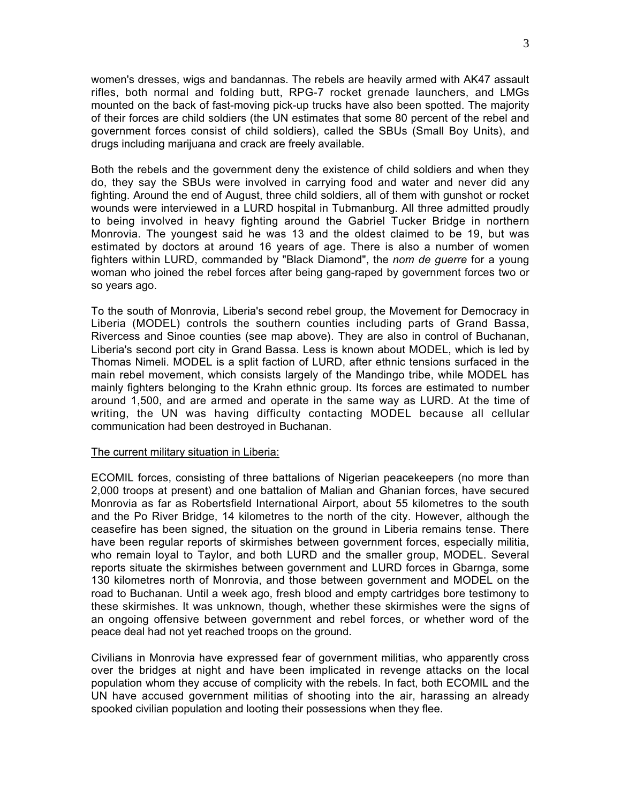women's dresses, wigs and bandannas. The rebels are heavily armed with AK47 assault rifles, both normal and folding butt, RPG-7 rocket grenade launchers, and LMGs mounted on the back of fast-moving pick-up trucks have also been spotted. The majority of their forces are child soldiers (the UN estimates that some 80 percent of the rebel and government forces consist of child soldiers), called the SBUs (Small Boy Units), and drugs including marijuana and crack are freely available.

Both the rebels and the government deny the existence of child soldiers and when they do, they say the SBUs were involved in carrying food and water and never did any fighting. Around the end of August, three child soldiers, all of them with gunshot or rocket wounds were interviewed in a LURD hospital in Tubmanburg. All three admitted proudly to being involved in heavy fighting around the Gabriel Tucker Bridge in northern Monrovia. The youngest said he was 13 and the oldest claimed to be 19, but was estimated by doctors at around 16 years of age. There is also a number of women fighters within LURD, commanded by "Black Diamond", the *nom de guerre* for a young woman who joined the rebel forces after being gang-raped by government forces two or so years ago.

To the south of Monrovia, Liberia's second rebel group, the Movement for Democracy in Liberia (MODEL) controls the southern counties including parts of Grand Bassa, Rivercess and Sinoe counties (see map above). They are also in control of Buchanan, Liberia's second port city in Grand Bassa. Less is known about MODEL, which is led by Thomas Nimeli. MODEL is a split faction of LURD, after ethnic tensions surfaced in the main rebel movement, which consists largely of the Mandingo tribe, while MODEL has mainly fighters belonging to the Krahn ethnic group. Its forces are estimated to number around 1,500, and are armed and operate in the same way as LURD. At the time of writing, the UN was having difficulty contacting MODEL because all cellular communication had been destroyed in Buchanan.

## The current military situation in Liberia:

ECOMIL forces, consisting of three battalions of Nigerian peacekeepers (no more than 2,000 troops at present) and one battalion of Malian and Ghanian forces, have secured Monrovia as far as Robertsfield International Airport, about 55 kilometres to the south and the Po River Bridge, 14 kilometres to the north of the city. However, although the ceasefire has been signed, the situation on the ground in Liberia remains tense. There have been regular reports of skirmishes between government forces, especially militia, who remain loyal to Taylor, and both LURD and the smaller group, MODEL. Several reports situate the skirmishes between government and LURD forces in Gbarnga, some 130 kilometres north of Monrovia, and those between government and MODEL on the road to Buchanan. Until a week ago, fresh blood and empty cartridges bore testimony to these skirmishes. It was unknown, though, whether these skirmishes were the signs of an ongoing offensive between government and rebel forces, or whether word of the peace deal had not yet reached troops on the ground.

Civilians in Monrovia have expressed fear of government militias, who apparently cross over the bridges at night and have been implicated in revenge attacks on the local population whom they accuse of complicity with the rebels. In fact, both ECOMIL and the UN have accused government militias of shooting into the air, harassing an already spooked civilian population and looting their possessions when they flee.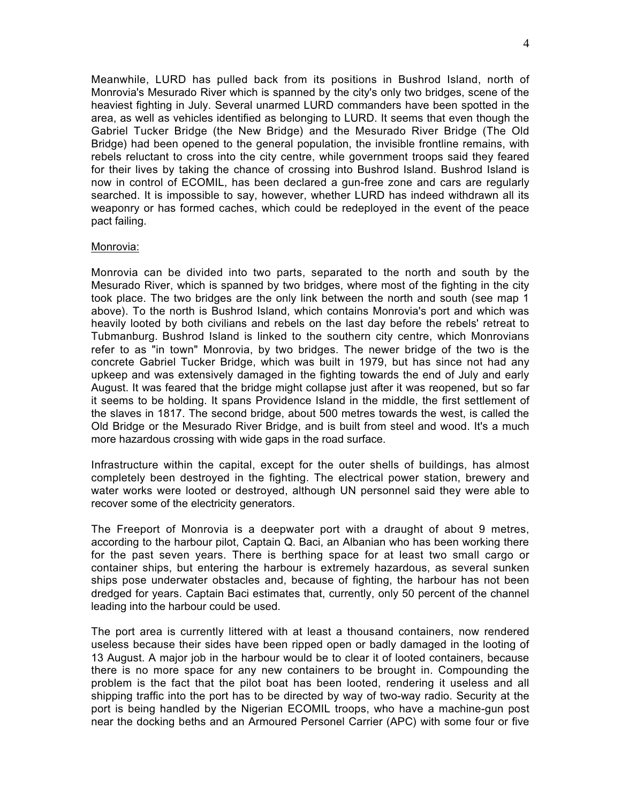Meanwhile, LURD has pulled back from its positions in Bushrod Island, north of Monrovia's Mesurado River which is spanned by the city's only two bridges, scene of the heaviest fighting in July. Several unarmed LURD commanders have been spotted in the area, as well as vehicles identified as belonging to LURD. It seems that even though the Gabriel Tucker Bridge (the New Bridge) and the Mesurado River Bridge (The Old Bridge) had been opened to the general population, the invisible frontline remains, with rebels reluctant to cross into the city centre, while government troops said they feared for their lives by taking the chance of crossing into Bushrod Island. Bushrod Island is now in control of ECOMIL, has been declared a gun-free zone and cars are regularly searched. It is impossible to say, however, whether LURD has indeed withdrawn all its weaponry or has formed caches, which could be redeployed in the event of the peace pact failing.

### Monrovia:

Monrovia can be divided into two parts, separated to the north and south by the Mesurado River, which is spanned by two bridges, where most of the fighting in the city took place. The two bridges are the only link between the north and south (see map 1 above). To the north is Bushrod Island, which contains Monrovia's port and which was heavily looted by both civilians and rebels on the last day before the rebels' retreat to Tubmanburg. Bushrod Island is linked to the southern city centre, which Monrovians refer to as "in town" Monrovia, by two bridges. The newer bridge of the two is the concrete Gabriel Tucker Bridge, which was built in 1979, but has since not had any upkeep and was extensively damaged in the fighting towards the end of July and early August. It was feared that the bridge might collapse just after it was reopened, but so far it seems to be holding. It spans Providence Island in the middle, the first settlement of the slaves in 1817. The second bridge, about 500 metres towards the west, is called the Old Bridge or the Mesurado River Bridge, and is built from steel and wood. It's a much more hazardous crossing with wide gaps in the road surface.

Infrastructure within the capital, except for the outer shells of buildings, has almost completely been destroyed in the fighting. The electrical power station, brewery and water works were looted or destroyed, although UN personnel said they were able to recover some of the electricity generators.

The Freeport of Monrovia is a deepwater port with a draught of about 9 metres, according to the harbour pilot, Captain Q. Baci, an Albanian who has been working there for the past seven years. There is berthing space for at least two small cargo or container ships, but entering the harbour is extremely hazardous, as several sunken ships pose underwater obstacles and, because of fighting, the harbour has not been dredged for years. Captain Baci estimates that, currently, only 50 percent of the channel leading into the harbour could be used.

The port area is currently littered with at least a thousand containers, now rendered useless because their sides have been ripped open or badly damaged in the looting of 13 August. A major job in the harbour would be to clear it of looted containers, because there is no more space for any new containers to be brought in. Compounding the problem is the fact that the pilot boat has been looted, rendering it useless and all shipping traffic into the port has to be directed by way of two-way radio. Security at the port is being handled by the Nigerian ECOMIL troops, who have a machine-gun post near the docking beths and an Armoured Personel Carrier (APC) with some four or five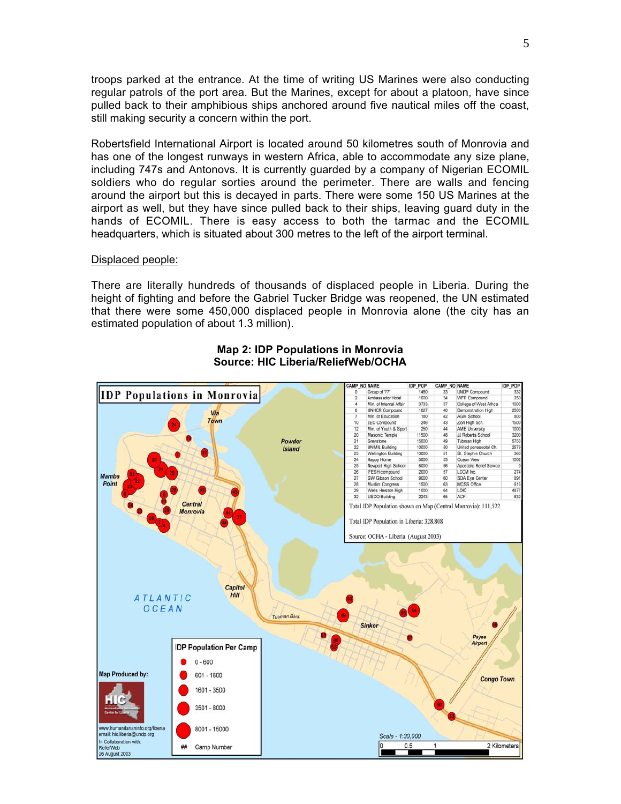troops parked at the entrance. At the time of writing US Marines were also conducting regular patrols of the port area. But the Marines, except for about a platoon, have since pulled back to their amphibious ships anchored around five nautical miles off the coast, still making security a concern within the port.

Robertsfield International Airport is located around 50 kilometres south of Monrovia and has one of the longest runways in western Africa, able to accommodate any size plane, including 747s and Antonovs. It is currently guarded by a company of Nigerian ECOMIL soldiers who do regular sorties around the perimeter. There are walls and fencing around the airport but this is decayed in parts. There were some 150 US Marines at the airport as well, but they have since pulled back to their ships, leaving guard duty in the hands of ECOMIL. There is easy access to both the tarmac and the ECOMIL headquarters, which is situated about 300 metres to the left of the airport terminal.

#### Displaced people:

There are literally hundreds of thousands of displaced people in Liberia. During the height of fighting and before the Gabriel Tucker Bridge was reopened, the UN estimated that there were some 450,000 displaced people in Monrovia alone (the city has an estimated population of about 1.3 million).



## **Map 2: IDP Populations in Monrovia Source: HIC Liberia/ReliefWeb/OCHA**